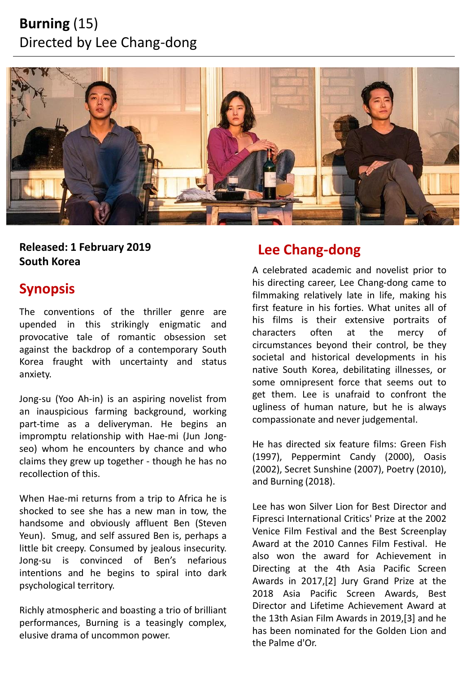# **Burning** (15) Directed by Lee Chang-dong



**Lee Chang-dong Released: 1 February 2019 South Korea**

## **Synopsis**

The conventions of the thriller genre are upended in this strikingly enigmatic and provocative tale of romantic obsession set against the backdrop of a contemporary South Korea fraught with uncertainty and status anxiety.

Jong-su (Yoo Ah-in) is an aspiring novelist from an inauspicious farming background, working part-time as a deliveryman. He begins an impromptu relationship with Hae-mi (Jun Jongseo) whom he encounters by chance and who claims they grew up together - though he has no recollection of this.

When Hae-mi returns from a trip to Africa he is shocked to see she has a new man in tow, the handsome and obviously affluent Ben (Steven Yeun). Smug, and self assured Ben is, perhaps a little bit creepy. Consumed by jealous insecurity. Jong-su is convinced of Ben's nefarious intentions and he begins to spiral into dark psychological territory.

Richly atmospheric and boasting a trio of brilliant performances, Burning is a teasingly complex, elusive drama of uncommon power.

A celebrated academic and novelist prior to his directing career, Lee Chang-dong came to filmmaking relatively late in life, making his first feature in his forties. What unites all of his films is their extensive portraits of characters often at the mercy of circumstances beyond their control, be they societal and historical developments in his native South Korea, debilitating illnesses, or some omnipresent force that seems out to get them. Lee is unafraid to confront the ugliness of human nature, but he is always compassionate and never judgemental.

He has directed six feature films: Green Fish (1997), Peppermint Candy (2000), Oasis (2002), Secret Sunshine (2007), Poetry (2010), and Burning (2018).

Lee has won Silver Lion for Best Director and Fipresci International Critics' Prize at the 2002 Venice Film Festival and the Best Screenplay Award at the 2010 Cannes Film Festival. He also won the award for Achievement in Directing at the 4th Asia Pacific Screen Awards in 2017,[2] Jury Grand Prize at the 2018 Asia Pacific Screen Awards, Best Director and Lifetime Achievement Award at the 13th Asian Film Awards in 2019,[3] and he has been nominated for the Golden Lion and the Palme d'Or.